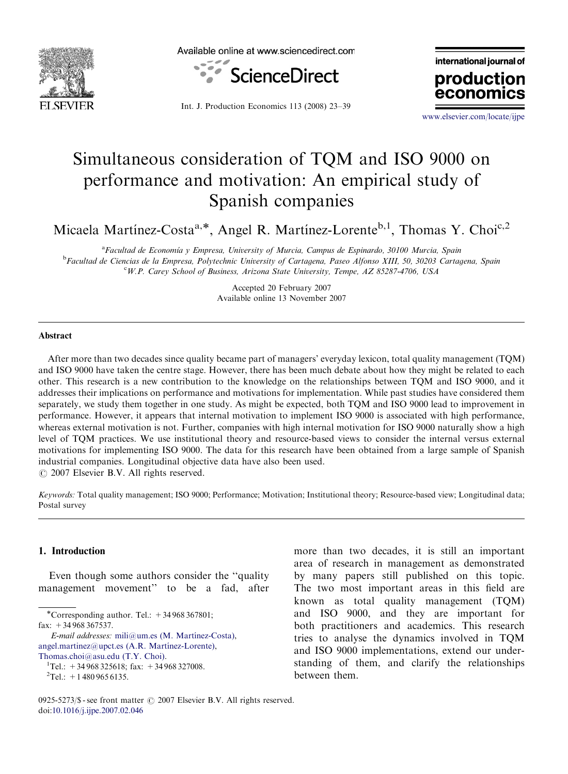

Available online at www.sciencedirect.com



Int. J. Production Economics 113 (2008) 23–39

international journal of production econor

<www.elsevier.com/locate/ijpe>

## Simultaneous consideration of TQM and ISO 9000 on performance and motivation: An empirical study of Spanish companies

Micaela Martínez-Costa<sup>a,\*</sup>, Angel R. Martínez-Lorente<sup>b,1</sup>, Thomas Y. Choi<sup>c,2</sup>

<sup>a</sup> Facultad de Economía y Empresa, University of Murcia, Campus de Espinardo, 30100 Murcia, Spain <sup>b</sup>Facultad de Ciencias de la Empresa, Polytechnic University of Cartagena, Paseo Alfonso XIII, 50, 30203 Cartagena, Spain <sup>c</sup>W.P. Carey School of Business, Arizona State University, Tempe, AZ 85287-4706, USA

> Accepted 20 February 2007 Available online 13 November 2007

#### Abstract

After more than two decades since quality became part of managers' everyday lexicon, total quality management (TQM) and ISO 9000 have taken the centre stage. However, there has been much debate about how they might be related to each other. This research is a new contribution to the knowledge on the relationships between TQM and ISO 9000, and it addresses their implications on performance and motivations for implementation. While past studies have considered them separately, we study them together in one study. As might be expected, both TQM and ISO 9000 lead to improvement in performance. However, it appears that internal motivation to implement ISO 9000 is associated with high performance, whereas external motivation is not. Further, companies with high internal motivation for ISO 9000 naturally show a high level of TQM practices. We use institutional theory and resource-based views to consider the internal versus external motivations for implementing ISO 9000. The data for this research have been obtained from a large sample of Spanish industrial companies. Longitudinal objective data have also been used.

 $\odot$  2007 Elsevier B.V. All rights reserved.

Keywords: Total quality management; ISO 9000; Performance; Motivation; Institutional theory; Resource-based view; Longitudinal data; Postal survey

### 1. Introduction

Even though some authors consider the ''quality management movement'' to be a fad, after

\*Corresponding author. Tel.:  $+34968367801$ ; fax: +34 968 367537.

E-mail addresses: mili@um.es (M. Martínez-Costa), angel.martinez@upct.es (A.R. Martínez-Lorente),

[Thomas.choi@asu.edu \(T.Y. Choi\).](mailto:Thomas.choi@asu.edu) <sup>1</sup>

more than two decades, it is still an important area of research in management as demonstrated by many papers still published on this topic. The two most important areas in this field are known as total quality management (TQM) and ISO 9000, and they are important for both practitioners and academics. This research tries to analyse the dynamics involved in TQM and ISO 9000 implementations, extend our understanding of them, and clarify the relationships between them.

 $T$ el.: +34 968 325618; fax: +34 968 327008.

 ${}^{2}$ Tel.: +14809656135.

<sup>0925-5273/\$ -</sup> see front matter  $\odot$  2007 Elsevier B.V. All rights reserved. doi:[10.1016/j.ijpe.2007.02.046](dx.doi.org/10.1016/j.ijpe.2007.02.046)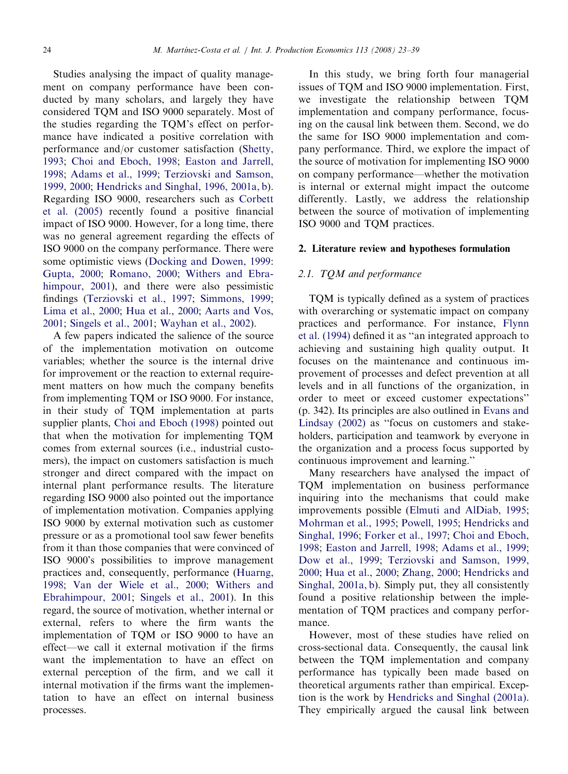Studies analysing the impact of quality management on company performance have been conducted by many scholars, and largely they have considered TQM and ISO 9000 separately. Most of the studies regarding the TQM's effect on performance have indicated a positive correlation with performance and/or customer satisfaction ([Shetty,](#page--1-0) [1993](#page--1-0); [Choi and Eboch, 1998;](#page--1-0) [Easton and Jarrell,](#page--1-0) [1998](#page--1-0); [Adams et al., 1999;](#page--1-0) [Terziovski and Samson,](#page--1-0) [1999, 2000;](#page--1-0) [Hendricks and Singhal, 1996, 2001a, b](#page--1-0)). Regarding ISO 9000, researchers such as [Corbett](#page--1-0) [et al. \(2005\)](#page--1-0) recently found a positive financial impact of ISO 9000. However, for a long time, there was no general agreement regarding the effects of ISO 9000 on the company performance. There were some optimistic views ([Docking and Dowen, 1999:](#page--1-0) [Gupta, 2000;](#page--1-0) [Romano, 2000;](#page--1-0) [Withers and Ebra](#page--1-0)[himpour, 2001\)](#page--1-0), and there were also pessimistic findings [\(Terziovski et al., 1997](#page--1-0); [Simmons, 1999;](#page--1-0) [Lima et al., 2000;](#page--1-0) [Hua et al., 2000](#page--1-0); [Aarts and Vos,](#page--1-0) [2001](#page--1-0); [Singels et al., 2001;](#page--1-0) [Wayhan et al., 2002](#page--1-0)).

A few papers indicated the salience of the source of the implementation motivation on outcome variables; whether the source is the internal drive for improvement or the reaction to external requirement matters on how much the company benefits from implementing TQM or ISO 9000. For instance, in their study of TQM implementation at parts supplier plants, [Choi and Eboch \(1998\)](#page--1-0) pointed out that when the motivation for implementing TQM comes from external sources (i.e., industrial customers), the impact on customers satisfaction is much stronger and direct compared with the impact on internal plant performance results. The literature regarding ISO 9000 also pointed out the importance of implementation motivation. Companies applying ISO 9000 by external motivation such as customer pressure or as a promotional tool saw fewer benefits from it than those companies that were convinced of ISO 9000's possibilities to improve management practices and, consequently, performance ([Huarng,](#page--1-0) [1998;](#page--1-0) [Van der Wiele et al., 2000;](#page--1-0) [Withers and](#page--1-0) [Ebrahimpour, 2001](#page--1-0); [Singels et al., 2001\)](#page--1-0). In this regard, the source of motivation, whether internal or external, refers to where the firm wants the implementation of TQM or ISO 9000 to have an effect—we call it external motivation if the firms want the implementation to have an effect on external perception of the firm, and we call it internal motivation if the firms want the implementation to have an effect on internal business processes.

In this study, we bring forth four managerial issues of TQM and ISO 9000 implementation. First, we investigate the relationship between TQM implementation and company performance, focusing on the causal link between them. Second, we do the same for ISO 9000 implementation and company performance. Third, we explore the impact of the source of motivation for implementing ISO 9000 on company performance—whether the motivation is internal or external might impact the outcome differently. Lastly, we address the relationship between the source of motivation of implementing ISO 9000 and TQM practices.

### 2. Literature review and hypotheses formulation

#### 2.1. TQM and performance

TQM is typically defined as a system of practices with overarching or systematic impact on company practices and performance. For instance, [Flynn](#page--1-0) [et al. \(1994\)](#page--1-0) defined it as ''an integrated approach to achieving and sustaining high quality output. It focuses on the maintenance and continuous improvement of processes and defect prevention at all levels and in all functions of the organization, in order to meet or exceed customer expectations'' (p. 342). Its principles are also outlined in [Evans and](#page--1-0) [Lindsay \(2002\)](#page--1-0) as ''focus on customers and stakeholders, participation and teamwork by everyone in the organization and a process focus supported by continuous improvement and learning.''

Many researchers have analysed the impact of TQM implementation on business performance inquiring into the mechanisms that could make improvements possible [\(Elmuti and AlDiab, 1995;](#page--1-0) [Mohrman et al., 1995](#page--1-0); [Powell, 1995;](#page--1-0) [Hendricks and](#page--1-0) [Singhal, 1996;](#page--1-0) [Forker et al., 1997;](#page--1-0) [Choi and Eboch,](#page--1-0) [1998](#page--1-0); [Easton and Jarrell, 1998;](#page--1-0) [Adams et al., 1999;](#page--1-0) [Dow et al., 1999;](#page--1-0) [Terziovski and Samson, 1999,](#page--1-0) [2000](#page--1-0); [Hua et al., 2000](#page--1-0); [Zhang, 2000;](#page--1-0) [Hendricks and](#page--1-0) [Singhal, 2001a, b](#page--1-0)). Simply put, they all consistently found a positive relationship between the implementation of TQM practices and company performance.

However, most of these studies have relied on cross-sectional data. Consequently, the causal link between the TQM implementation and company performance has typically been made based on theoretical arguments rather than empirical. Exception is the work by [Hendricks and Singhal \(2001a\).](#page--1-0) They empirically argued the causal link between